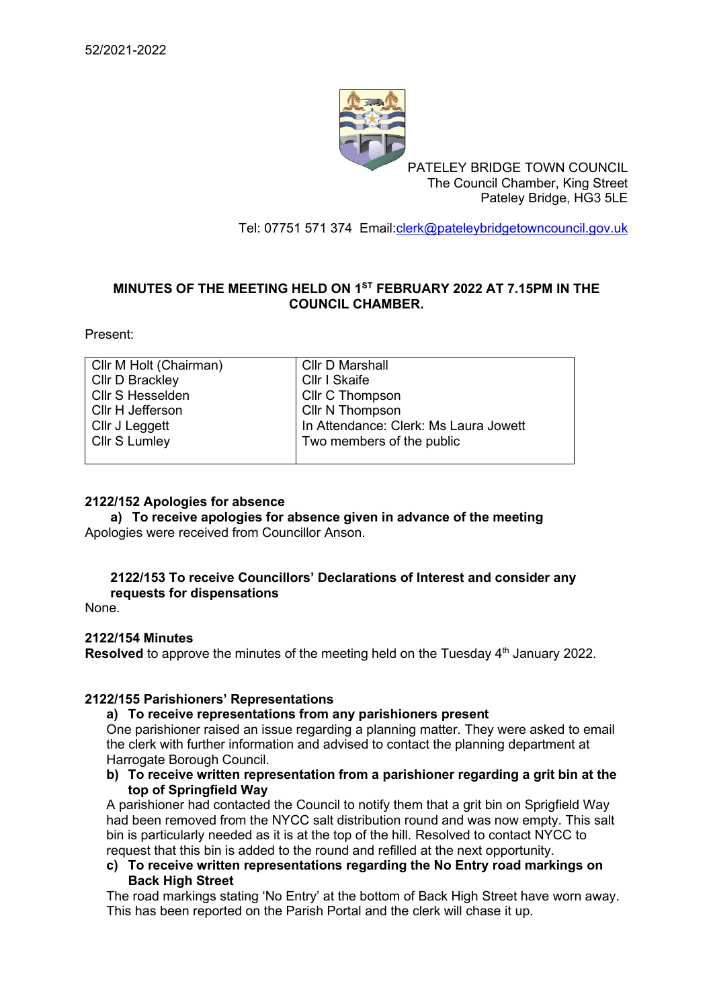

PATELEY BRIDGE TOWN COUNCIL The Council Chamber, King Street Pateley Bridge, HG3 5LE

Tel: 07751 571 374 Email[:clerk@pateleybridgetowncouncil.gov.uk](mailto:clerk@pateleybridgetowncouncil.gov.uk)

# **MINUTES OF THE MEETING HELD ON 1 ST FEBRUARY 2022 AT 7.15PM IN THE COUNCIL CHAMBER.**

Present:

| Cllr M Holt (Chairman) | <b>Cllr D Marshall</b>                |
|------------------------|---------------------------------------|
| <b>Cllr D Brackley</b> | <b>Cllr I Skaife</b>                  |
| Cllr S Hesselden       | <b>Cllr C Thompson</b>                |
| Cllr H Jefferson       | Cllr N Thompson                       |
| Cllr J Leggett         | In Attendance: Clerk: Ms Laura Jowett |
| Cllr S Lumley          | Two members of the public             |
|                        |                                       |

### **2122/152 Apologies for absence**

**a) To receive apologies for absence given in advance of the meeting** Apologies were received from Councillor Anson.

#### **2122/153 To receive Councillors' Declarations of Interest and consider any requests for dispensations**

None.

## **2122/154 Minutes**

**Resolved** to approve the minutes of the meeting held on the Tuesday 4<sup>th</sup> January 2022.

## **2122/155 Parishioners' Representations**

#### **a) To receive representations from any parishioners present**

One parishioner raised an issue regarding a planning matter. They were asked to email the clerk with further information and advised to contact the planning department at Harrogate Borough Council.

**b) To receive written representation from a parishioner regarding a grit bin at the top of Springfield Way**

A parishioner had contacted the Council to notify them that a grit bin on Sprigfield Way had been removed from the NYCC salt distribution round and was now empty. This salt bin is particularly needed as it is at the top of the hill. Resolved to contact NYCC to request that this bin is added to the round and refilled at the next opportunity.

**c) To receive written representations regarding the No Entry road markings on Back High Street**

The road markings stating 'No Entry' at the bottom of Back High Street have worn away. This has been reported on the Parish Portal and the clerk will chase it up.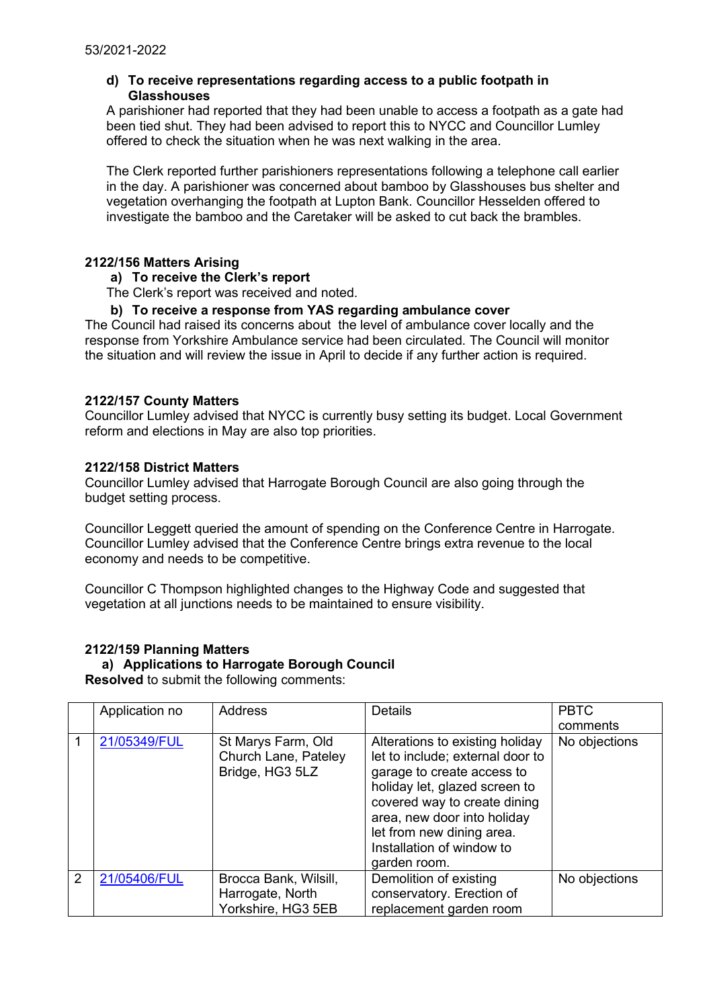## **d) To receive representations regarding access to a public footpath in Glasshouses**

A parishioner had reported that they had been unable to access a footpath as a gate had been tied shut. They had been advised to report this to NYCC and Councillor Lumley offered to check the situation when he was next walking in the area.

The Clerk reported further parishioners representations following a telephone call earlier in the day. A parishioner was concerned about bamboo by Glasshouses bus shelter and vegetation overhanging the footpath at Lupton Bank. Councillor Hesselden offered to investigate the bamboo and the Caretaker will be asked to cut back the brambles.

#### **2122/156 Matters Arising**

#### **a) To receive the Clerk's report**

The Clerk's report was received and noted.

### **b) To receive a response from YAS regarding ambulance cover**

The Council had raised its concerns about the level of ambulance cover locally and the response from Yorkshire Ambulance service had been circulated. The Council will monitor the situation and will review the issue in April to decide if any further action is required.

#### **2122/157 County Matters**

Councillor Lumley advised that NYCC is currently busy setting its budget. Local Government reform and elections in May are also top priorities.

#### **2122/158 District Matters**

Councillor Lumley advised that Harrogate Borough Council are also going through the budget setting process.

Councillor Leggett queried the amount of spending on the Conference Centre in Harrogate. Councillor Lumley advised that the Conference Centre brings extra revenue to the local economy and needs to be competitive.

Councillor C Thompson highlighted changes to the Highway Code and suggested that vegetation at all junctions needs to be maintained to ensure visibility.

## **2122/159 Planning Matters**

# **a) Applications to Harrogate Borough Council**

**Resolved** to submit the following comments:

|               | Application no | <b>Address</b>                                                | <b>Details</b>                                                                                                                                                                                                                                                              | <b>PBTC</b>   |
|---------------|----------------|---------------------------------------------------------------|-----------------------------------------------------------------------------------------------------------------------------------------------------------------------------------------------------------------------------------------------------------------------------|---------------|
|               |                |                                                               |                                                                                                                                                                                                                                                                             | comments      |
|               | 21/05349/FUL   | St Marys Farm, Old<br>Church Lane, Pateley<br>Bridge, HG3 5LZ | Alterations to existing holiday<br>let to include; external door to<br>garage to create access to<br>holiday let, glazed screen to<br>covered way to create dining<br>area, new door into holiday<br>let from new dining area.<br>Installation of window to<br>garden room. | No objections |
| $\mathcal{P}$ | 21/05406/FUL   | Brocca Bank, Wilsill,                                         | Demolition of existing                                                                                                                                                                                                                                                      | No objections |
|               |                | Harrogate, North                                              | conservatory. Erection of                                                                                                                                                                                                                                                   |               |
|               |                | Yorkshire, HG3 5EB                                            | replacement garden room                                                                                                                                                                                                                                                     |               |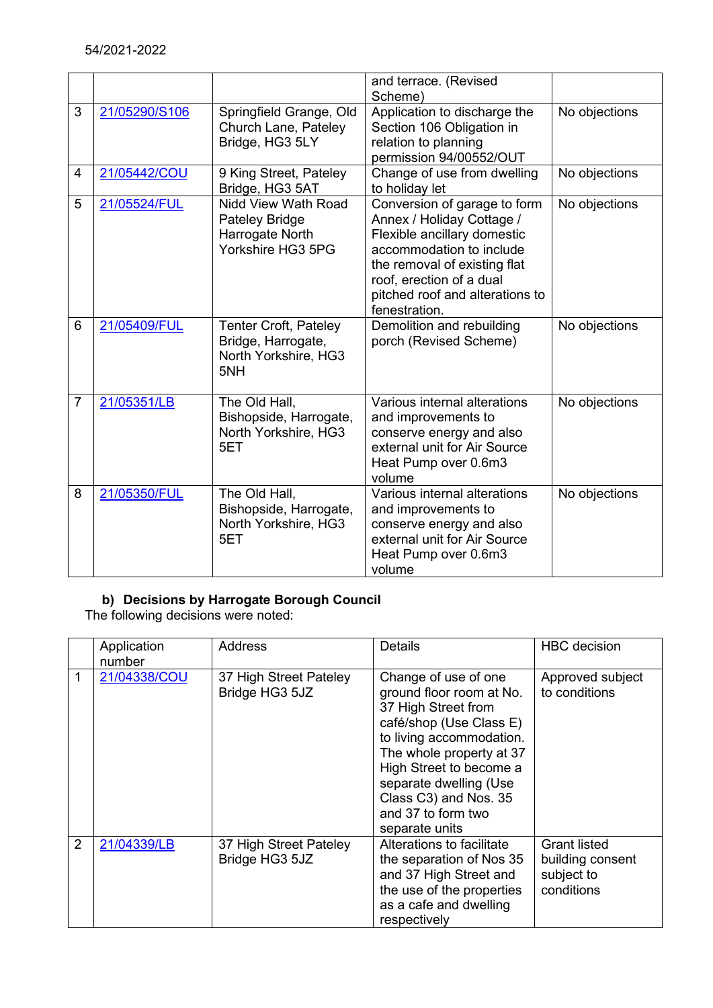|                |               |                                                                                   | and terrace. (Revised<br>Scheme)                                                                                                                                                                                                     |               |
|----------------|---------------|-----------------------------------------------------------------------------------|--------------------------------------------------------------------------------------------------------------------------------------------------------------------------------------------------------------------------------------|---------------|
| 3              | 21/05290/S106 | Springfield Grange, Old<br>Church Lane, Pateley<br>Bridge, HG3 5LY                | Application to discharge the<br>Section 106 Obligation in<br>relation to planning<br>permission 94/00552/OUT                                                                                                                         | No objections |
| 4              | 21/05442/COU  | 9 King Street, Pateley<br>Bridge, HG3 5AT                                         | Change of use from dwelling<br>to holiday let                                                                                                                                                                                        | No objections |
| 5              | 21/05524/FUL  | Nidd View Wath Road<br>Pateley Bridge<br>Harrogate North<br>Yorkshire HG3 5PG     | Conversion of garage to form<br>Annex / Holiday Cottage /<br>Flexible ancillary domestic<br>accommodation to include<br>the removal of existing flat<br>roof, erection of a dual<br>pitched roof and alterations to<br>fenestration. | No objections |
| 6              | 21/05409/FUL  | <b>Tenter Croft, Pateley</b><br>Bridge, Harrogate,<br>North Yorkshire, HG3<br>5NH | Demolition and rebuilding<br>porch (Revised Scheme)                                                                                                                                                                                  | No objections |
| $\overline{7}$ | 21/05351/LB   | The Old Hall,<br>Bishopside, Harrogate,<br>North Yorkshire, HG3<br>5ET            | Various internal alterations<br>and improvements to<br>conserve energy and also<br>external unit for Air Source<br>Heat Pump over 0.6m3<br>volume                                                                                    | No objections |
| 8              | 21/05350/FUL  | The Old Hall,<br>Bishopside, Harrogate,<br>North Yorkshire, HG3<br>5ET            | Various internal alterations<br>and improvements to<br>conserve energy and also<br>external unit for Air Source<br>Heat Pump over 0.6m3<br>volume                                                                                    | No objections |

# **b) Decisions by Harrogate Borough Council**

The following decisions were noted:

|                | Application<br>number | <b>Address</b>                           | <b>Details</b>                                                                                                                                                                                                                                                                   | <b>HBC</b> decision                                                 |
|----------------|-----------------------|------------------------------------------|----------------------------------------------------------------------------------------------------------------------------------------------------------------------------------------------------------------------------------------------------------------------------------|---------------------------------------------------------------------|
| 1              | 21/04338/COU          | 37 High Street Pateley<br>Bridge HG3 5JZ | Change of use of one<br>ground floor room at No.<br>37 High Street from<br>café/shop (Use Class E)<br>to living accommodation.<br>The whole property at 37<br>High Street to become a<br>separate dwelling (Use<br>Class C3) and Nos. 35<br>and 37 to form two<br>separate units | Approved subject<br>to conditions                                   |
| $\overline{2}$ | 21/04339/LB           | 37 High Street Pateley<br>Bridge HG3 5JZ | Alterations to facilitate<br>the separation of Nos 35<br>and 37 High Street and<br>the use of the properties<br>as a cafe and dwelling<br>respectively                                                                                                                           | <b>Grant listed</b><br>building consent<br>subject to<br>conditions |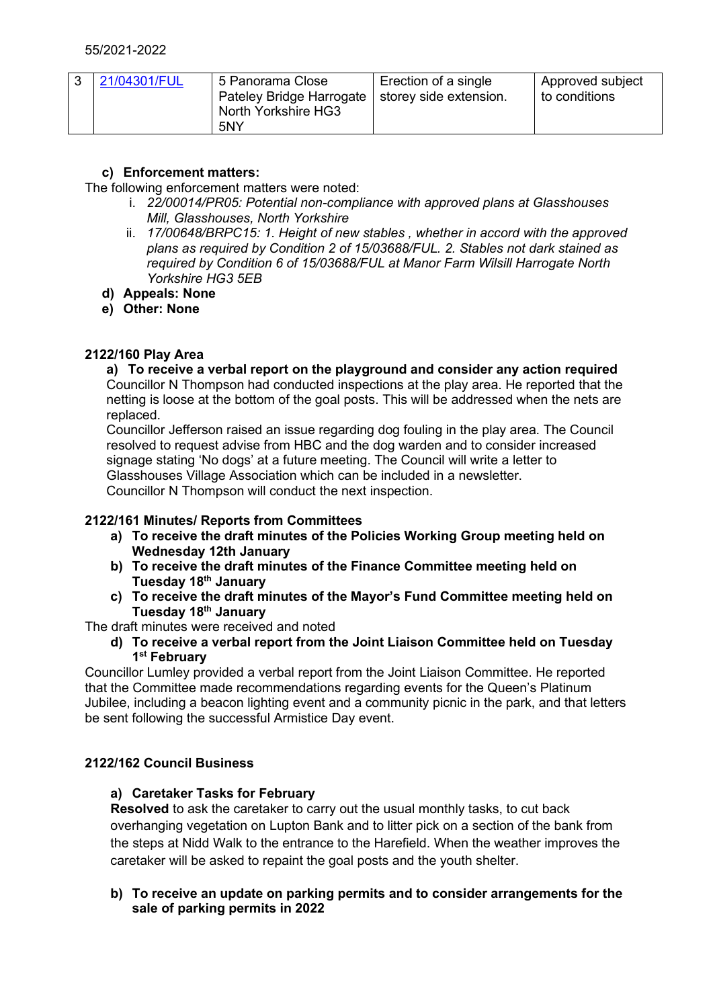|  | 21/04301/FUL | 5 Panorama Close<br>Pateley Bridge Harrogate   storey side extension.<br>North Yorkshire HG3<br>5NY | Erection of a single | Approved subject<br>to conditions |
|--|--------------|-----------------------------------------------------------------------------------------------------|----------------------|-----------------------------------|
|--|--------------|-----------------------------------------------------------------------------------------------------|----------------------|-----------------------------------|

# **c) Enforcement matters:**

The following enforcement matters were noted:

- i. *22/00014/PR05: Potential non-compliance with approved plans at Glasshouses Mill, Glasshouses, North Yorkshire*
- ii. *17/00648/BRPC15: 1. Height of new stables , whether in accord with the approved plans as required by Condition 2 of 15/03688/FUL. 2. Stables not dark stained as required by Condition 6 of 15/03688/FUL at Manor Farm Wilsill Harrogate North Yorkshire HG3 5EB*
- **d) Appeals: None**
- **e) Other: None**

# **2122/160 Play Area**

**a) To receive a verbal report on the playground and consider any action required** Councillor N Thompson had conducted inspections at the play area. He reported that the netting is loose at the bottom of the goal posts. This will be addressed when the nets are replaced.

Councillor Jefferson raised an issue regarding dog fouling in the play area. The Council resolved to request advise from HBC and the dog warden and to consider increased signage stating 'No dogs' at a future meeting. The Council will write a letter to Glasshouses Village Association which can be included in a newsletter. Councillor N Thompson will conduct the next inspection.

# **2122/161 Minutes/ Reports from Committees**

- **a) To receive the draft minutes of the Policies Working Group meeting held on Wednesday 12th January**
- **b) To receive the draft minutes of the Finance Committee meeting held on Tuesday 18 th January**
- **c) To receive the draft minutes of the Mayor's Fund Committee meeting held on Tuesday 18 th January**

The draft minutes were received and noted

#### **d) To receive a verbal report from the Joint Liaison Committee held on Tuesday 1 st February**

Councillor Lumley provided a verbal report from the Joint Liaison Committee. He reported that the Committee made recommendations regarding events for the Queen's Platinum Jubilee, including a beacon lighting event and a community picnic in the park, and that letters be sent following the successful Armistice Day event.

# **2122/162 Council Business**

## **a) Caretaker Tasks for February**

**Resolved** to ask the caretaker to carry out the usual monthly tasks, to cut back overhanging vegetation on Lupton Bank and to litter pick on a section of the bank from the steps at Nidd Walk to the entrance to the Harefield. When the weather improves the caretaker will be asked to repaint the goal posts and the youth shelter.

## **b) To receive an update on parking permits and to consider arrangements for the sale of parking permits in 2022**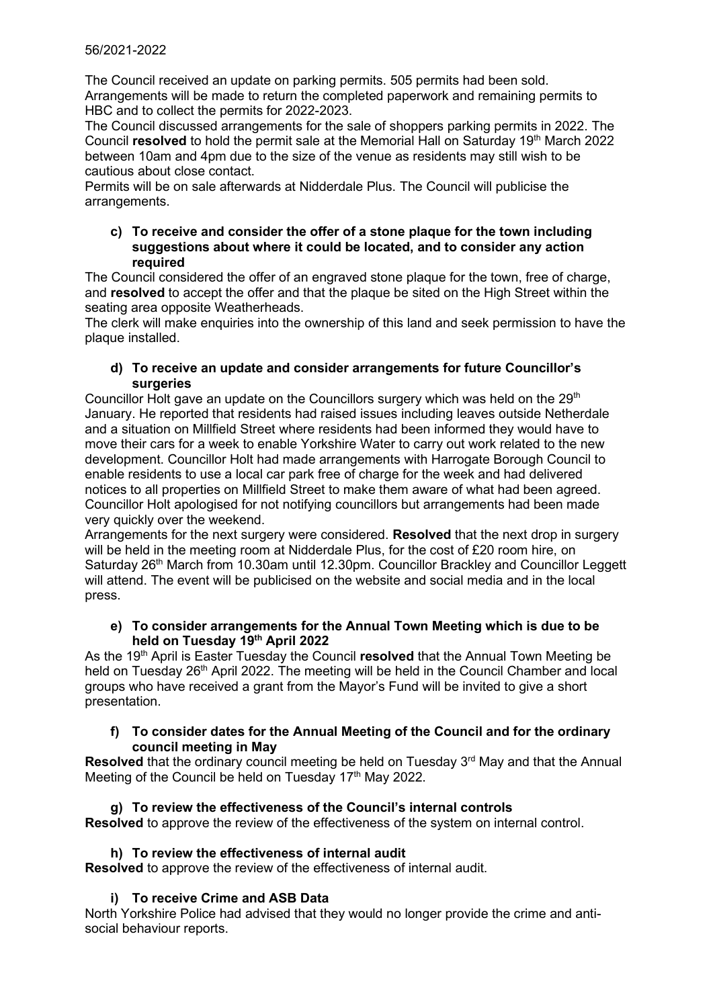The Council received an update on parking permits. 505 permits had been sold. Arrangements will be made to return the completed paperwork and remaining permits to HBC and to collect the permits for 2022-2023.

The Council discussed arrangements for the sale of shoppers parking permits in 2022. The Council **resolved** to hold the permit sale at the Memorial Hall on Saturday 19<sup>th</sup> March 2022 between 10am and 4pm due to the size of the venue as residents may still wish to be cautious about close contact.

Permits will be on sale afterwards at Nidderdale Plus. The Council will publicise the arrangements.

## **c) To receive and consider the offer of a stone plaque for the town including suggestions about where it could be located, and to consider any action required**

The Council considered the offer of an engraved stone plaque for the town, free of charge, and **resolved** to accept the offer and that the plaque be sited on the High Street within the seating area opposite Weatherheads.

The clerk will make enquiries into the ownership of this land and seek permission to have the plaque installed.

## **d) To receive an update and consider arrangements for future Councillor's surgeries**

Councillor Holt gave an update on the Councillors surgery which was held on the 29<sup>th</sup> January. He reported that residents had raised issues including leaves outside Netherdale and a situation on Millfield Street where residents had been informed they would have to move their cars for a week to enable Yorkshire Water to carry out work related to the new development. Councillor Holt had made arrangements with Harrogate Borough Council to enable residents to use a local car park free of charge for the week and had delivered notices to all properties on Millfield Street to make them aware of what had been agreed. Councillor Holt apologised for not notifying councillors but arrangements had been made very quickly over the weekend.

Arrangements for the next surgery were considered. **Resolved** that the next drop in surgery will be held in the meeting room at Nidderdale Plus, for the cost of £20 room hire, on Saturday 26<sup>th</sup> March from 10.30am until 12.30pm. Councillor Brackley and Councillor Leggett will attend. The event will be publicised on the website and social media and in the local press.

## **e) To consider arrangements for the Annual Town Meeting which is due to be held on Tuesday 19th April 2022**

As the 19th April is Easter Tuesday the Council **resolved** that the Annual Town Meeting be held on Tuesday 26<sup>th</sup> April 2022. The meeting will be held in the Council Chamber and local groups who have received a grant from the Mayor's Fund will be invited to give a short presentation.

## **f) To consider dates for the Annual Meeting of the Council and for the ordinary council meeting in May**

**Resolved** that the ordinary council meeting be held on Tuesday 3<sup>rd</sup> May and that the Annual Meeting of the Council be held on Tuesday  $17<sup>th</sup>$  May 2022.

# **g) To review the effectiveness of the Council's internal controls**

**Resolved** to approve the review of the effectiveness of the system on internal control.

## **h) To review the effectiveness of internal audit**

**Resolved** to approve the review of the effectiveness of internal audit.

# **i) To receive Crime and ASB Data**

North Yorkshire Police had advised that they would no longer provide the crime and antisocial behaviour reports.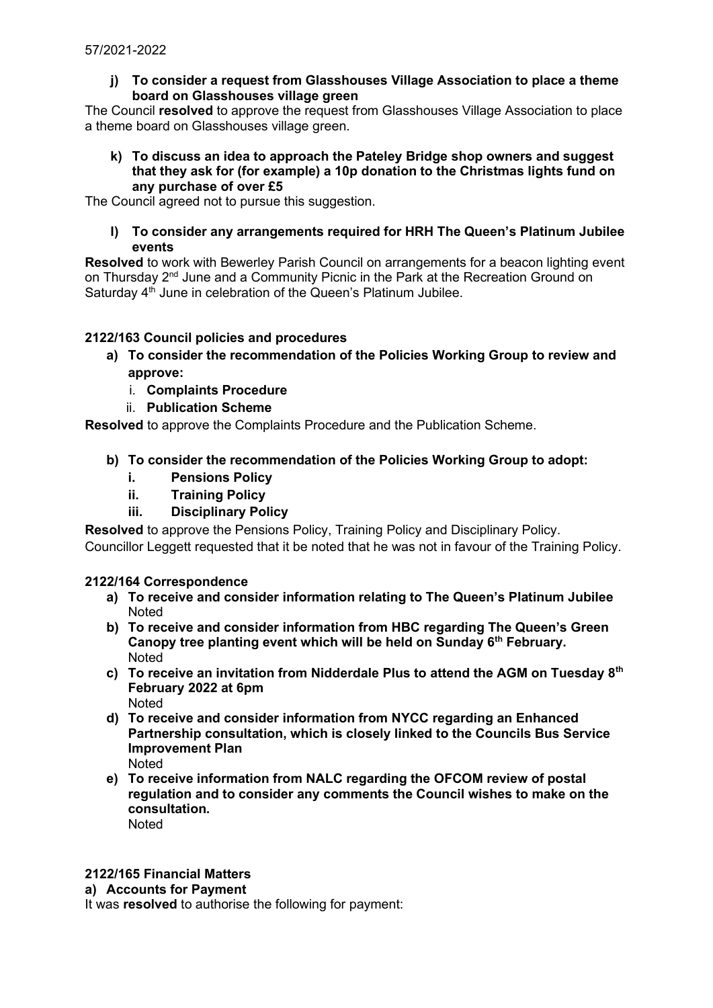**j) To consider a request from Glasshouses Village Association to place a theme board on Glasshouses village green**

The Council **resolved** to approve the request from Glasshouses Village Association to place a theme board on Glasshouses village green.

**k) To discuss an idea to approach the Pateley Bridge shop owners and suggest that they ask for (for example) a 10p donation to the Christmas lights fund on any purchase of over £5**

The Council agreed not to pursue this suggestion.

**l) To consider any arrangements required for HRH The Queen's Platinum Jubilee events**

**Resolved** to work with Bewerley Parish Council on arrangements for a beacon lighting event on Thursday 2nd June and a Community Picnic in the Park at the Recreation Ground on Saturday 4<sup>th</sup> June in celebration of the Queen's Platinum Jubilee.

# **2122/163 Council policies and procedures**

- **a) To consider the recommendation of the Policies Working Group to review and approve:**
	- i. **Complaints Procedure**
	- ii. **Publication Scheme**

**Resolved** to approve the Complaints Procedure and the Publication Scheme.

- **b) To consider the recommendation of the Policies Working Group to adopt:**
	- **i. Pensions Policy**
	- **ii. Training Policy**
	- **iii. Disciplinary Policy**

**Resolved** to approve the Pensions Policy, Training Policy and Disciplinary Policy.

Councillor Leggett requested that it be noted that he was not in favour of the Training Policy.

## **2122/164 Correspondence**

- **a) To receive and consider information relating to The Queen's Platinum Jubilee Noted**
- **b) To receive and consider information from HBC regarding The Queen's Green Canopy tree planting event which will be held on Sunday 6th February.** Noted
- **c) To receive an invitation from Nidderdale Plus to attend the AGM on Tuesday 8th February 2022 at 6pm** Noted
- **d) To receive and consider information from NYCC regarding an Enhanced Partnership consultation, which is closely linked to the Councils Bus Service Improvement Plan** Noted
- **e) To receive information from NALC regarding the OFCOM review of postal regulation and to consider any comments the Council wishes to make on the consultation. Noted**

## **2122/165 Financial Matters**

**a) Accounts for Payment**

It was **resolved** to authorise the following for payment: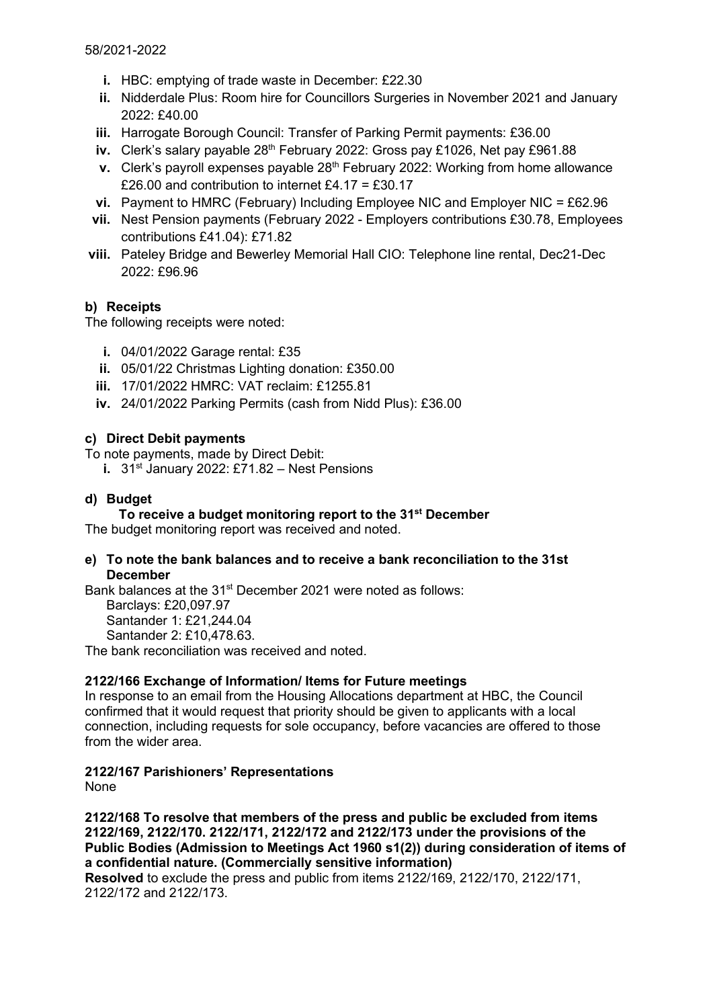- **i.** HBC: emptying of trade waste in December: £22.30
- **ii.** Nidderdale Plus: Room hire for Councillors Surgeries in November 2021 and January 2022: £40.00
- **iii.** Harrogate Borough Council: Transfer of Parking Permit payments: £36.00
- iv. Clerk's salary payable 28<sup>th</sup> February 2022: Gross pay £1026, Net pay £961.88
- **v.** Clerk's payroll expenses payable 28<sup>th</sup> February 2022: Working from home allowance £26.00 and contribution to internet £4.17 = £30.17
- **vi.** Payment to HMRC (February) Including Employee NIC and Employer NIC = £62.96
- **vii.** Nest Pension payments (February 2022 Employers contributions £30.78, Employees contributions £41.04): £71.82
- **viii.** Pateley Bridge and Bewerley Memorial Hall CIO: Telephone line rental, Dec21-Dec 2022: £96.96

# **b) Receipts**

The following receipts were noted:

- **i.** 04/01/2022 Garage rental: £35
- **ii.** 05/01/22 Christmas Lighting donation: £350.00
- **iii.** 17/01/2022 HMRC: VAT reclaim: £1255.81
- **iv.** 24/01/2022 Parking Permits (cash from Nidd Plus): £36.00

## **c) Direct Debit payments**

- To note payments, made by Direct Debit:
	- **i.** 31st January 2022: £71.82 Nest Pensions

## **d) Budget**

**To receive a budget monitoring report to the 31st December**

The budget monitoring report was received and noted.

## **e) To note the bank balances and to receive a bank reconciliation to the 31st December**

Bank balances at the 31<sup>st</sup> December 2021 were noted as follows: Barclays: £20,097.97 Santander 1: £21,244.04 Santander 2: £10,478.63. The bank reconciliation was received and noted.

# **2122/166 Exchange of Information/ Items for Future meetings**

In response to an email from the Housing Allocations department at HBC, the Council confirmed that it would request that priority should be given to applicants with a local connection, including requests for sole occupancy, before vacancies are offered to those from the wider area.

# **2122/167 Parishioners' Representations**

None

**2122/168 To resolve that members of the press and public be excluded from items 2122/169, 2122/170. 2122/171, 2122/172 and 2122/173 under the provisions of the Public Bodies (Admission to Meetings Act 1960 s1(2)) during consideration of items of a confidential nature. (Commercially sensitive information)**

**Resolved** to exclude the press and public from items 2122/169, 2122/170, 2122/171, 2122/172 and 2122/173.